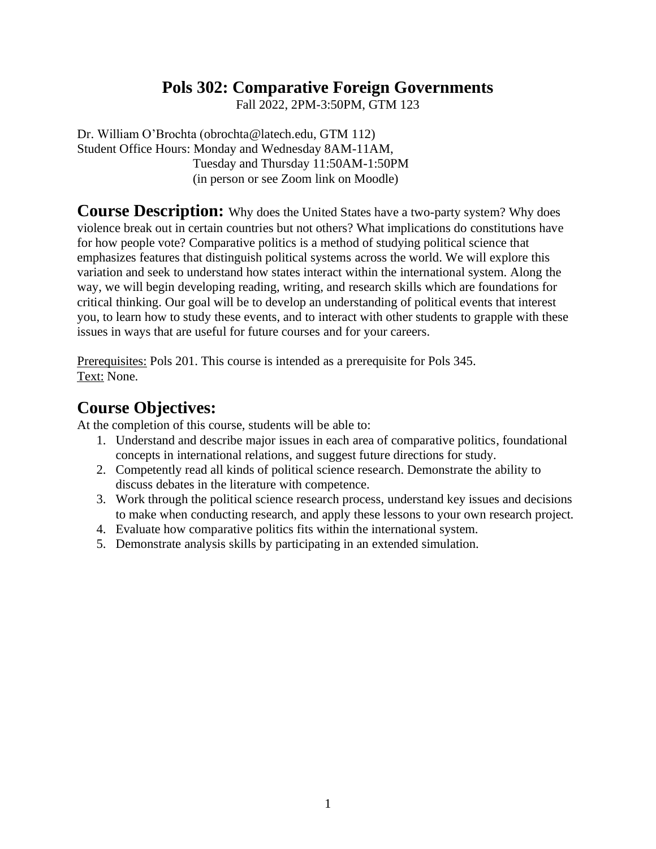## **Pols 302: Comparative Foreign Governments**

Fall 2022, 2PM-3:50PM, GTM 123

Dr. William O'Brochta (obrochta@latech.edu, GTM 112) Student Office Hours: Monday and Wednesday 8AM-11AM, Tuesday and Thursday 11:50AM-1:50PM (in person or see Zoom link on Moodle)

**Course Description:** Why does the United States have a two-party system? Why does violence break out in certain countries but not others? What implications do constitutions have for how people vote? Comparative politics is a method of studying political science that emphasizes features that distinguish political systems across the world. We will explore this variation and seek to understand how states interact within the international system. Along the way, we will begin developing reading, writing, and research skills which are foundations for critical thinking. Our goal will be to develop an understanding of political events that interest you, to learn how to study these events, and to interact with other students to grapple with these issues in ways that are useful for future courses and for your careers.

Prerequisites: Pols 201. This course is intended as a prerequisite for Pols 345. Text: None.

## **Course Objectives:**

At the completion of this course, students will be able to:

- 1. Understand and describe major issues in each area of comparative politics, foundational concepts in international relations, and suggest future directions for study.
- 2. Competently read all kinds of political science research. Demonstrate the ability to discuss debates in the literature with competence.
- 3. Work through the political science research process, understand key issues and decisions to make when conducting research, and apply these lessons to your own research project.
- 4. Evaluate how comparative politics fits within the international system.
- 5. Demonstrate analysis skills by participating in an extended simulation.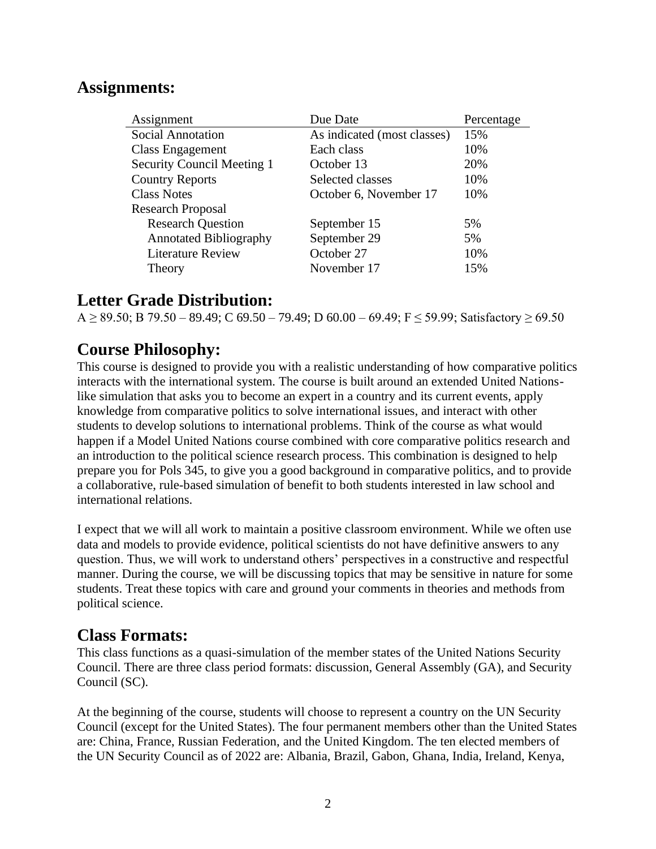## **Assignments:**

| Assignment                        | Due Date                    | Percentage |
|-----------------------------------|-----------------------------|------------|
| <b>Social Annotation</b>          | As indicated (most classes) | 15%        |
| Class Engagement                  | Each class                  | 10%        |
| <b>Security Council Meeting 1</b> | October 13                  | 20%        |
| <b>Country Reports</b>            | Selected classes            | 10%        |
| <b>Class Notes</b>                | October 6, November 17      | 10%        |
| <b>Research Proposal</b>          |                             |            |
| <b>Research Question</b>          | September 15                | 5%         |
| <b>Annotated Bibliography</b>     | September 29                | 5%         |
| <b>Literature Review</b>          | October 27                  | 10%        |
| Theory                            | November 17                 | 15%        |

## **Letter Grade Distribution:**

A ≥ 89.50; B 79.50 – 89.49; C 69.50 – 79.49; D 60.00 – 69.49; F ≤ 59.99; Satisfactory ≥ 69.50

## **Course Philosophy:**

This course is designed to provide you with a realistic understanding of how comparative politics interacts with the international system. The course is built around an extended United Nationslike simulation that asks you to become an expert in a country and its current events, apply knowledge from comparative politics to solve international issues, and interact with other students to develop solutions to international problems. Think of the course as what would happen if a Model United Nations course combined with core comparative politics research and an introduction to the political science research process. This combination is designed to help prepare you for Pols 345, to give you a good background in comparative politics, and to provide a collaborative, rule-based simulation of benefit to both students interested in law school and international relations.

I expect that we will all work to maintain a positive classroom environment. While we often use data and models to provide evidence, political scientists do not have definitive answers to any question. Thus, we will work to understand others' perspectives in a constructive and respectful manner. During the course, we will be discussing topics that may be sensitive in nature for some students. Treat these topics with care and ground your comments in theories and methods from political science.

### **Class Formats:**

This class functions as a quasi-simulation of the member states of the United Nations Security Council. There are three class period formats: discussion, General Assembly (GA), and Security Council (SC).

At the beginning of the course, students will choose to represent a country on the UN Security Council (except for the United States). The four permanent members other than the United States are: China, France, Russian Federation, and the United Kingdom. The ten elected members of the UN Security Council as of 2022 are: Albania, Brazil, Gabon, Ghana, India, Ireland, Kenya,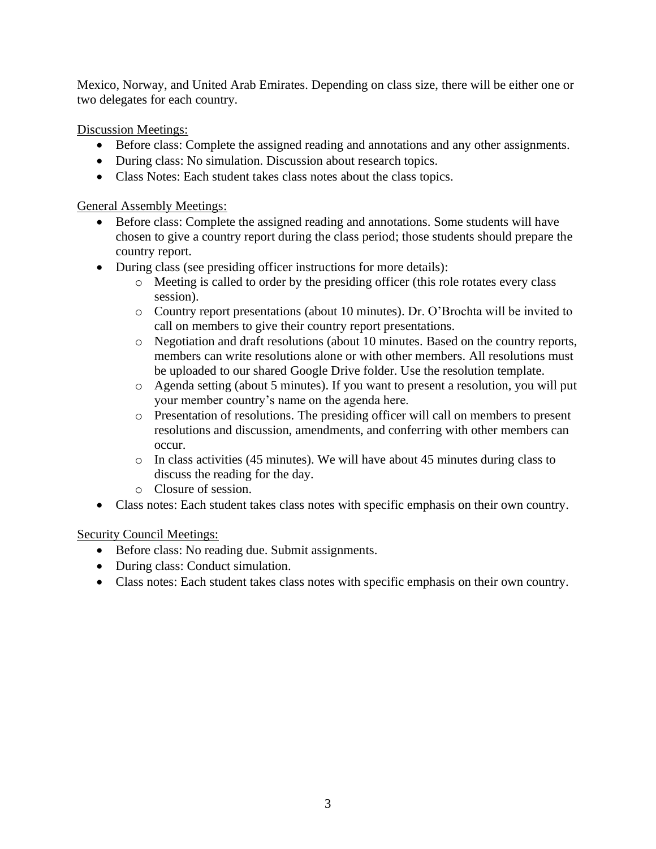Mexico, Norway, and United Arab Emirates. Depending on class size, there will be either one or two delegates for each country.

Discussion Meetings:

- Before class: Complete the assigned reading and annotations and any other assignments.
- During class: No simulation. Discussion about research topics.
- Class Notes: Each student takes class notes about the class topics.

General Assembly Meetings:

- Before class: Complete the assigned reading and annotations. Some students will have chosen to give a country report during the class period; those students should prepare the country report.
- During class (see presiding officer instructions for more details):
	- o Meeting is called to order by the presiding officer (this role rotates every class session).
	- o Country report presentations (about 10 minutes). Dr. O'Brochta will be invited to call on members to give their country report presentations.
	- o Negotiation and draft resolutions (about 10 minutes. Based on the country reports, members can write resolutions alone or with other members. All resolutions must be uploaded to our shared Google Drive folder. Use the resolution template.
	- o Agenda setting (about 5 minutes). If you want to present a resolution, you will put your member country's name on the agenda here.
	- o Presentation of resolutions. The presiding officer will call on members to present resolutions and discussion, amendments, and conferring with other members can occur.
	- o In class activities (45 minutes). We will have about 45 minutes during class to discuss the reading for the day.
	- o Closure of session.
- Class notes: Each student takes class notes with specific emphasis on their own country.

Security Council Meetings:

- Before class: No reading due. Submit assignments.
- During class: Conduct simulation.
- Class notes: Each student takes class notes with specific emphasis on their own country.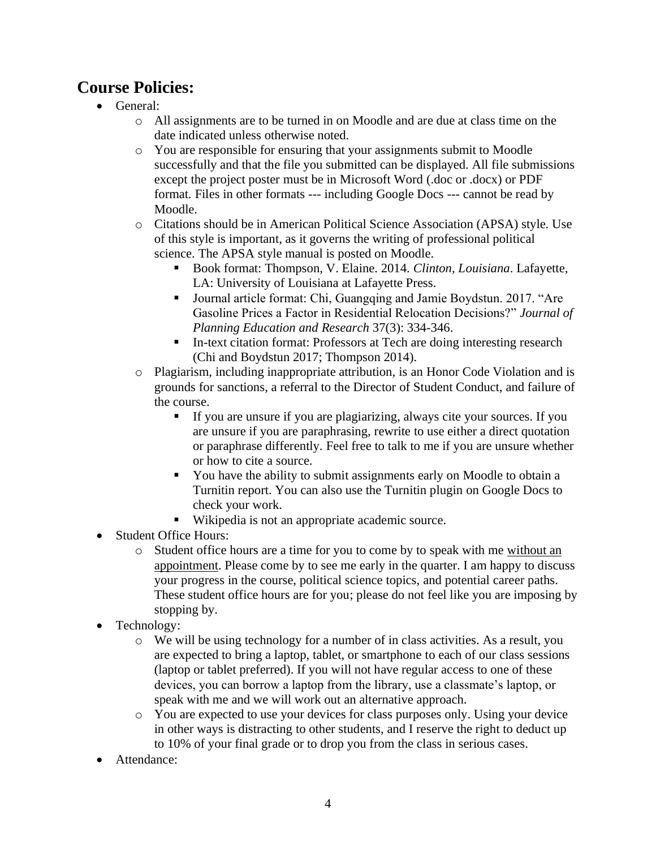# **Course Policies:**

- General:
	- o All assignments are to be turned in on Moodle and are due at class time on the date indicated unless otherwise noted.
	- o You are responsible for ensuring that your assignments submit to Moodle successfully and that the file you submitted can be displayed. All file submissions except the project poster must be in Microsoft Word (.doc or .docx) or PDF format. Files in other formats --- including Google Docs --- cannot be read by Moodle.
	- o Citations should be in American Political Science Association (APSA) style. Use of this style is important, as it governs the writing of professional political science. The APSA style manual is posted on Moodle.
		- Book format: Thompson, V. Elaine. 2014. *Clinton, Louisiana*. Lafayette, LA: University of Louisiana at Lafayette Press.
		- Journal article format: Chi, Guangqing and Jamie Boydstun. 2017. "Are Gasoline Prices a Factor in Residential Relocation Decisions?" *Journal of Planning Education and Research* 37(3): 334-346.
		- **II**-text citation format: Professors at Tech are doing interesting research (Chi and Boydstun 2017; Thompson 2014).
	- o Plagiarism, including inappropriate attribution, is an Honor Code Violation and is grounds for sanctions, a referral to the Director of Student Conduct, and failure of the course.
		- If you are unsure if you are plagiarizing, always cite your sources. If you are unsure if you are paraphrasing, rewrite to use either a direct quotation or paraphrase differently. Feel free to talk to me if you are unsure whether or how to cite a source.
		- You have the ability to submit assignments early on Moodle to obtain a Turnitin report. You can also use the Turnitin plugin on Google Docs to check your work.
		- Wikipedia is not an appropriate academic source.
- Student Office Hours:
	- o Student office hours are a time for you to come by to speak with me without an appointment. Please come by to see me early in the quarter. I am happy to discuss your progress in the course, political science topics, and potential career paths. These student office hours are for you; please do not feel like you are imposing by stopping by.
- Technology:
	- $\circ$  We will be using technology for a number of in class activities. As a result, you are expected to bring a laptop, tablet, or smartphone to each of our class sessions (laptop or tablet preferred). If you will not have regular access to one of these devices, you can borrow a laptop from the library, use a classmate's laptop, or speak with me and we will work out an alternative approach.
	- o You are expected to use your devices for class purposes only. Using your device in other ways is distracting to other students, and I reserve the right to deduct up to 10% of your final grade or to drop you from the class in serious cases.
- Attendance: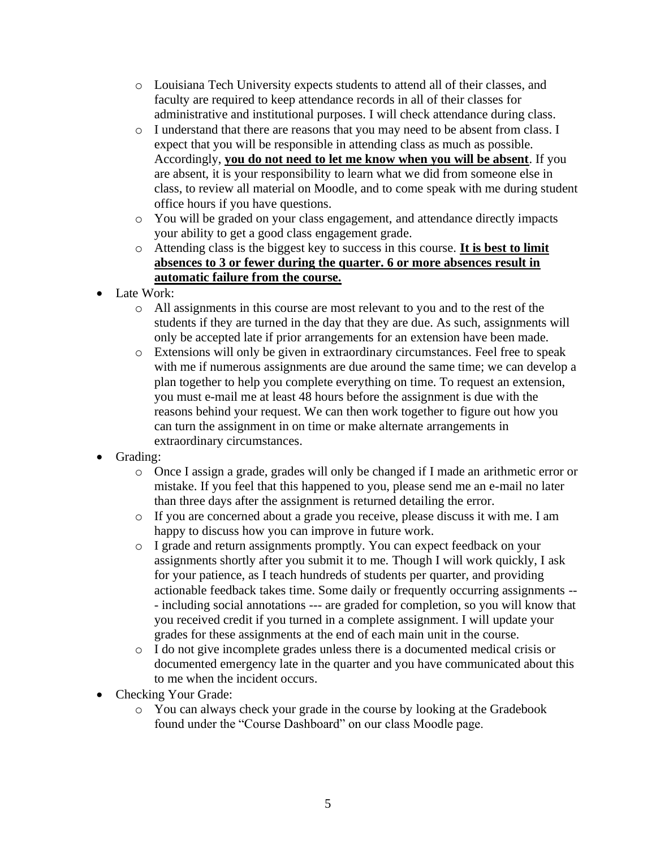- o Louisiana Tech University expects students to attend all of their classes, and faculty are required to keep attendance records in all of their classes for administrative and institutional purposes. I will check attendance during class.
- o I understand that there are reasons that you may need to be absent from class. I expect that you will be responsible in attending class as much as possible. Accordingly, **you do not need to let me know when you will be absent**. If you are absent, it is your responsibility to learn what we did from someone else in class, to review all material on Moodle, and to come speak with me during student office hours if you have questions.
- o You will be graded on your class engagement, and attendance directly impacts your ability to get a good class engagement grade.
- o Attending class is the biggest key to success in this course. **It is best to limit absences to 3 or fewer during the quarter. 6 or more absences result in automatic failure from the course.**
- Late Work:
	- o All assignments in this course are most relevant to you and to the rest of the students if they are turned in the day that they are due. As such, assignments will only be accepted late if prior arrangements for an extension have been made.
	- o Extensions will only be given in extraordinary circumstances. Feel free to speak with me if numerous assignments are due around the same time; we can develop a plan together to help you complete everything on time. To request an extension, you must e-mail me at least 48 hours before the assignment is due with the reasons behind your request. We can then work together to figure out how you can turn the assignment in on time or make alternate arrangements in extraordinary circumstances.
- Grading:
	- o Once I assign a grade, grades will only be changed if I made an arithmetic error or mistake. If you feel that this happened to you, please send me an e-mail no later than three days after the assignment is returned detailing the error.
	- o If you are concerned about a grade you receive, please discuss it with me. I am happy to discuss how you can improve in future work.
	- o I grade and return assignments promptly. You can expect feedback on your assignments shortly after you submit it to me. Though I will work quickly, I ask for your patience, as I teach hundreds of students per quarter, and providing actionable feedback takes time. Some daily or frequently occurring assignments -- - including social annotations --- are graded for completion, so you will know that you received credit if you turned in a complete assignment. I will update your grades for these assignments at the end of each main unit in the course.
	- o I do not give incomplete grades unless there is a documented medical crisis or documented emergency late in the quarter and you have communicated about this to me when the incident occurs.
- Checking Your Grade:
	- o You can always check your grade in the course by looking at the Gradebook found under the "Course Dashboard" on our class Moodle page.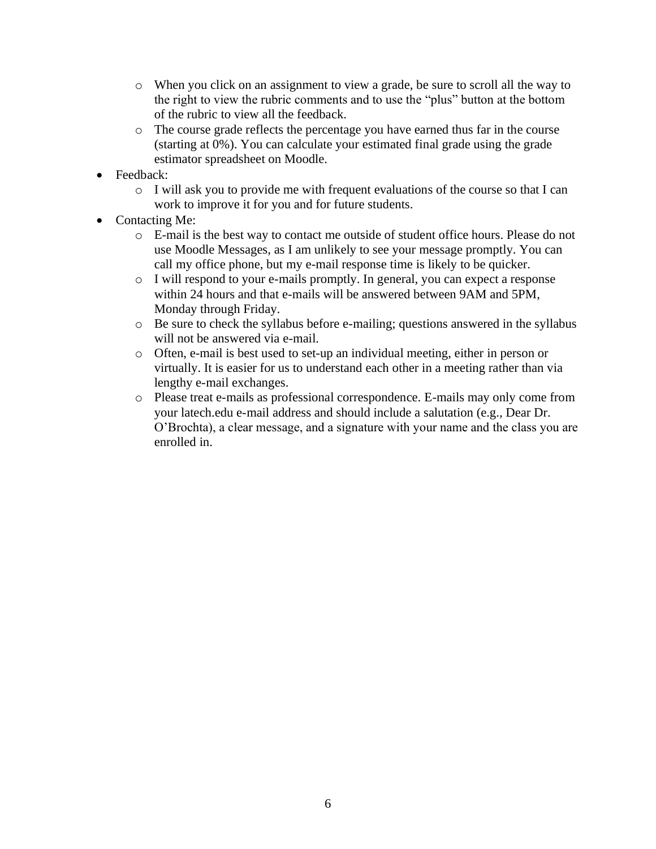- o When you click on an assignment to view a grade, be sure to scroll all the way to the right to view the rubric comments and to use the "plus" button at the bottom of the rubric to view all the feedback.
- o The course grade reflects the percentage you have earned thus far in the course (starting at 0%). You can calculate your estimated final grade using the grade estimator spreadsheet on Moodle.
- Feedback:
	- o I will ask you to provide me with frequent evaluations of the course so that I can work to improve it for you and for future students.
- Contacting Me:
	- o E-mail is the best way to contact me outside of student office hours. Please do not use Moodle Messages, as I am unlikely to see your message promptly. You can call my office phone, but my e-mail response time is likely to be quicker.
	- o I will respond to your e-mails promptly. In general, you can expect a response within 24 hours and that e-mails will be answered between 9AM and 5PM, Monday through Friday.
	- o Be sure to check the syllabus before e-mailing; questions answered in the syllabus will not be answered via e-mail.
	- o Often, e-mail is best used to set-up an individual meeting, either in person or virtually. It is easier for us to understand each other in a meeting rather than via lengthy e-mail exchanges.
	- o Please treat e-mails as professional correspondence. E-mails may only come from your latech.edu e-mail address and should include a salutation (e.g., Dear Dr. O'Brochta), a clear message, and a signature with your name and the class you are enrolled in.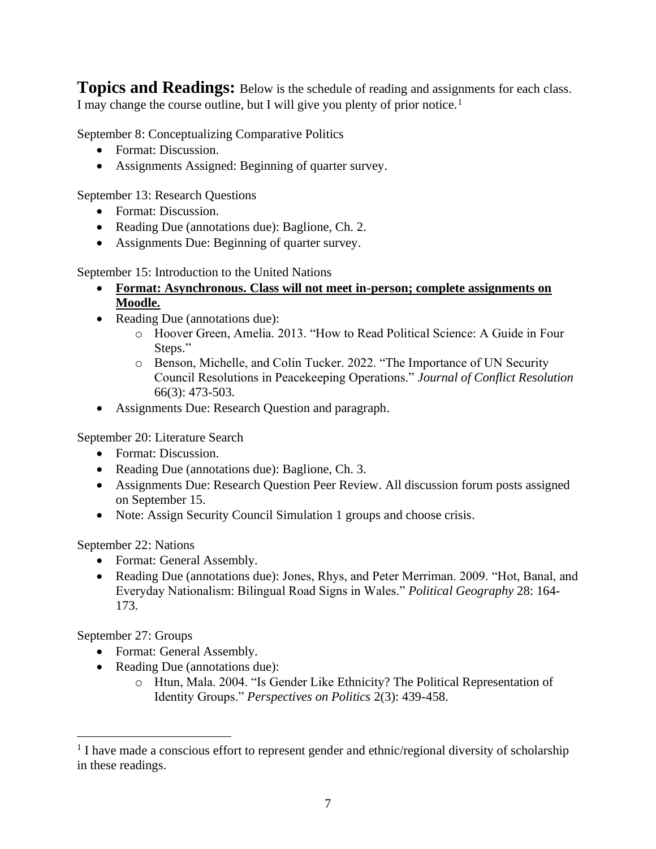**Topics and Readings:** Below is the schedule of reading and assignments for each class. I may change the course outline, but I will give you plenty of prior notice.<sup>1</sup>

September 8: Conceptualizing Comparative Politics

- Format: Discussion.
- Assignments Assigned: Beginning of quarter survey.

September 13: Research Questions

- Format: Discussion.
- Reading Due (annotations due): Baglione, Ch. 2.
- Assignments Due: Beginning of quarter survey.

September 15: Introduction to the United Nations

- **Format: Asynchronous. Class will not meet in-person; complete assignments on Moodle.**
- Reading Due (annotations due):
	- o Hoover Green, Amelia. 2013. "How to Read Political Science: A Guide in Four Steps."
	- o Benson, Michelle, and Colin Tucker. 2022. "The Importance of UN Security Council Resolutions in Peacekeeping Operations." *Journal of Conflict Resolution* 66(3): 473-503.
- Assignments Due: Research Question and paragraph.

September 20: Literature Search

- Format: Discussion.
- Reading Due (annotations due): Baglione, Ch. 3.
- Assignments Due: Research Question Peer Review. All discussion forum posts assigned on September 15.
- Note: Assign Security Council Simulation 1 groups and choose crisis.

#### September 22: Nations

- Format: General Assembly.
- Reading Due (annotations due): Jones, Rhys, and Peter Merriman. 2009. "Hot, Banal, and Everyday Nationalism: Bilingual Road Signs in Wales." *Political Geography* 28: 164- 173.

September 27: Groups

- Format: General Assembly.
- Reading Due (annotations due):
	- o Htun, Mala. 2004. "Is Gender Like Ethnicity? The Political Representation of Identity Groups." *Perspectives on Politics* 2(3): 439-458.

<sup>&</sup>lt;sup>1</sup> I have made a conscious effort to represent gender and ethnic/regional diversity of scholarship in these readings.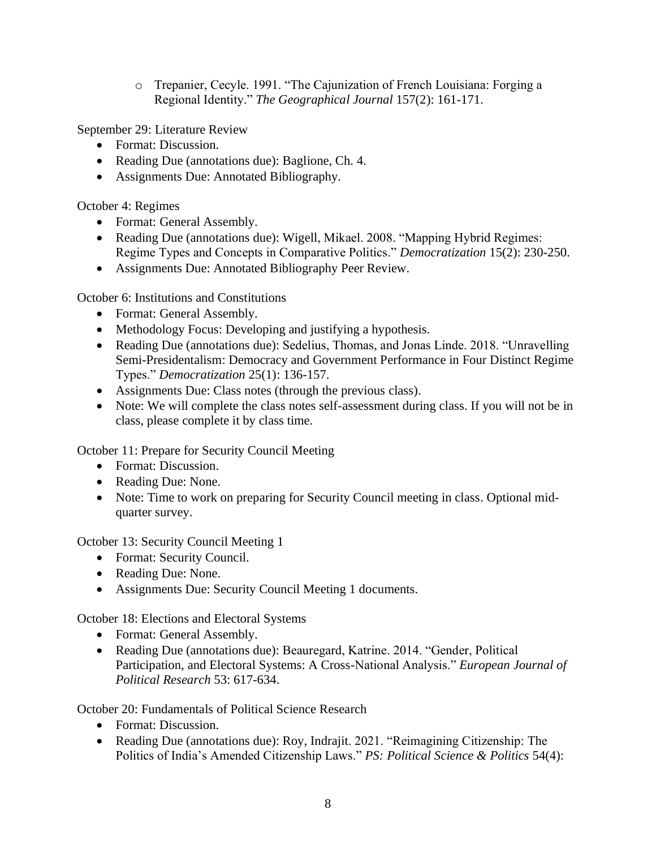o Trepanier, Cecyle. 1991. "The Cajunization of French Louisiana: Forging a Regional Identity." *The Geographical Journal* 157(2): 161-171.

September 29: Literature Review

- Format: Discussion.
- Reading Due (annotations due): Baglione, Ch. 4.
- Assignments Due: Annotated Bibliography.

October 4: Regimes

- Format: General Assembly.
- Reading Due (annotations due): Wigell, Mikael. 2008. "Mapping Hybrid Regimes: Regime Types and Concepts in Comparative Politics." *Democratization* 15(2): 230-250.
- Assignments Due: Annotated Bibliography Peer Review.

October 6: Institutions and Constitutions

- Format: General Assembly.
- Methodology Focus: Developing and justifying a hypothesis.
- Reading Due (annotations due): Sedelius, Thomas, and Jonas Linde. 2018. "Unravelling Semi-Presidentalism: Democracy and Government Performance in Four Distinct Regime Types." *Democratization* 25(1): 136-157.
- Assignments Due: Class notes (through the previous class).
- Note: We will complete the class notes self-assessment during class. If you will not be in class, please complete it by class time.

October 11: Prepare for Security Council Meeting

- Format: Discussion.
- Reading Due: None.
- Note: Time to work on preparing for Security Council meeting in class. Optional midquarter survey.

October 13: Security Council Meeting 1

- Format: Security Council.
- Reading Due: None.
- Assignments Due: Security Council Meeting 1 documents.

October 18: Elections and Electoral Systems

- Format: General Assembly.
- Reading Due (annotations due): Beauregard, Katrine. 2014. "Gender, Political Participation, and Electoral Systems: A Cross-National Analysis." *European Journal of Political Research* 53: 617-634.

October 20: Fundamentals of Political Science Research

- Format: Discussion.
- Reading Due (annotations due): Roy, Indrajit. 2021. "Reimagining Citizenship: The Politics of India's Amended Citizenship Laws." *PS: Political Science & Politics* 54(4):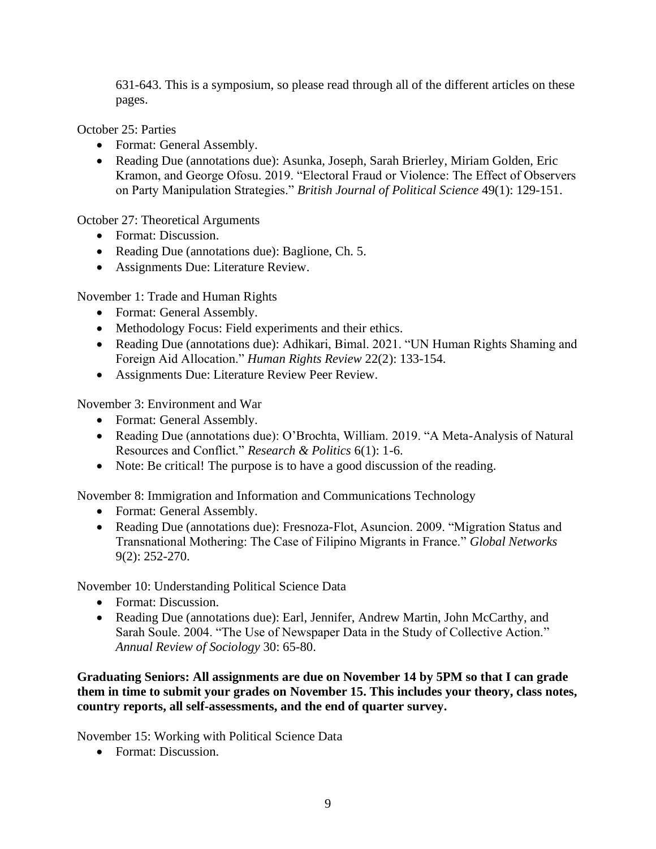631-643. This is a symposium, so please read through all of the different articles on these pages.

October 25: Parties

- Format: General Assembly.
- Reading Due (annotations due): Asunka, Joseph, Sarah Brierley, Miriam Golden, Eric Kramon, and George Ofosu. 2019. "Electoral Fraud or Violence: The Effect of Observers on Party Manipulation Strategies." *British Journal of Political Science* 49(1): 129-151.

October 27: Theoretical Arguments

- Format: Discussion.
- Reading Due (annotations due): Baglione, Ch. 5.
- Assignments Due: Literature Review.

November 1: Trade and Human Rights

- Format: General Assembly.
- Methodology Focus: Field experiments and their ethics.
- Reading Due (annotations due): Adhikari, Bimal. 2021. "UN Human Rights Shaming and Foreign Aid Allocation." *Human Rights Review* 22(2): 133-154.
- Assignments Due: Literature Review Peer Review.

November 3: Environment and War

- Format: General Assembly.
- Reading Due (annotations due): O'Brochta, William. 2019. "A Meta-Analysis of Natural Resources and Conflict." *Research & Politics* 6(1): 1-6.
- Note: Be critical! The purpose is to have a good discussion of the reading.

November 8: Immigration and Information and Communications Technology

- Format: General Assembly.
- Reading Due (annotations due): Fresnoza-Flot, Asuncion. 2009. "Migration Status and Transnational Mothering: The Case of Filipino Migrants in France." *Global Networks*  9(2): 252-270.

November 10: Understanding Political Science Data

- Format: Discussion.
- Reading Due (annotations due): Earl, Jennifer, Andrew Martin, John McCarthy, and Sarah Soule. 2004. "The Use of Newspaper Data in the Study of Collective Action." *Annual Review of Sociology* 30: 65-80.

**Graduating Seniors: All assignments are due on November 14 by 5PM so that I can grade them in time to submit your grades on November 15. This includes your theory, class notes, country reports, all self-assessments, and the end of quarter survey.**

November 15: Working with Political Science Data

• Format: Discussion.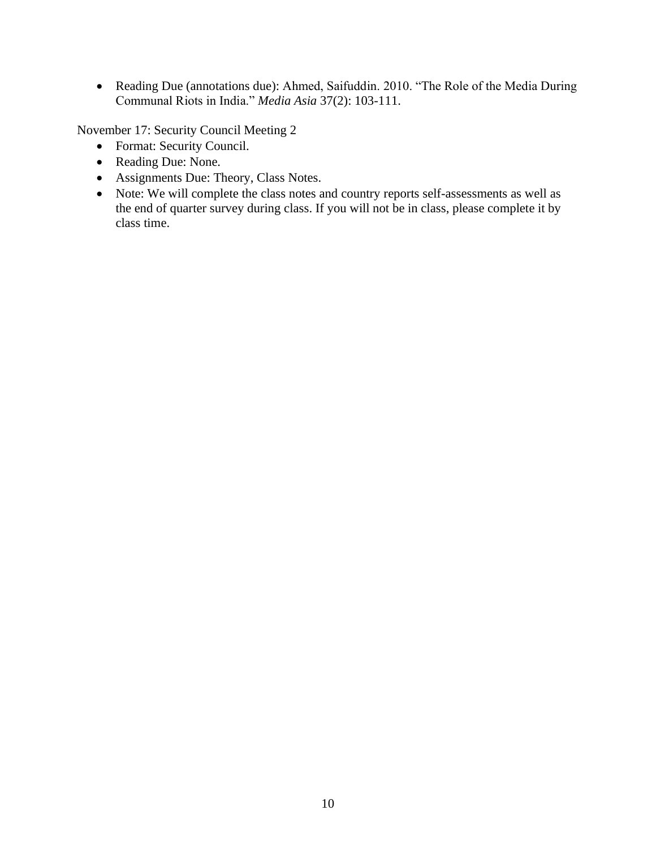• Reading Due (annotations due): Ahmed, Saifuddin. 2010. "The Role of the Media During Communal Riots in India." *Media Asia* 37(2): 103-111.

November 17: Security Council Meeting 2

- Format: Security Council.
- Reading Due: None.
- Assignments Due: Theory, Class Notes.
- Note: We will complete the class notes and country reports self-assessments as well as the end of quarter survey during class. If you will not be in class, please complete it by class time.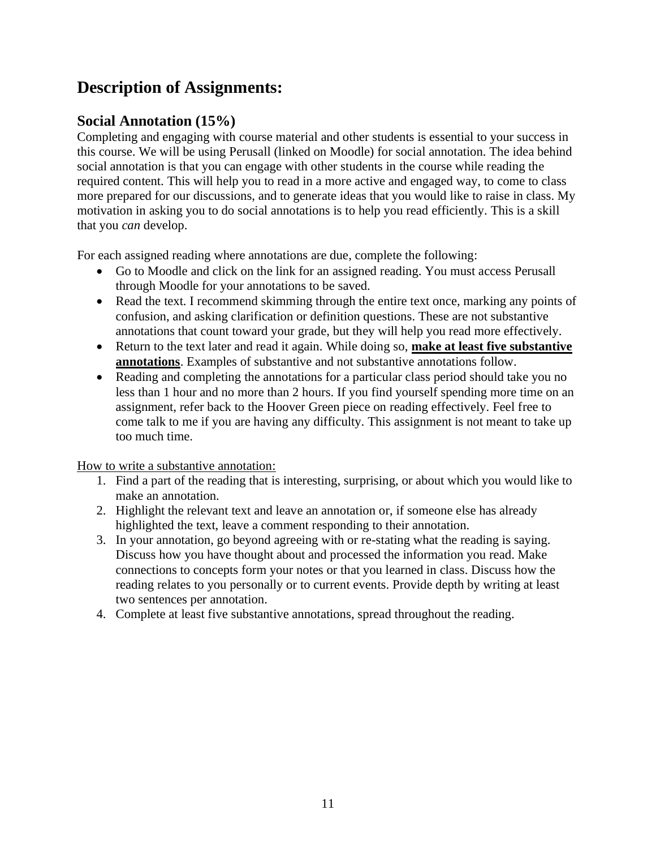# **Description of Assignments:**

### **Social Annotation (15%)**

Completing and engaging with course material and other students is essential to your success in this course. We will be using Perusall (linked on Moodle) for social annotation. The idea behind social annotation is that you can engage with other students in the course while reading the required content. This will help you to read in a more active and engaged way, to come to class more prepared for our discussions, and to generate ideas that you would like to raise in class. My motivation in asking you to do social annotations is to help you read efficiently. This is a skill that you *can* develop.

For each assigned reading where annotations are due, complete the following:

- Go to Moodle and click on the link for an assigned reading. You must access Perusall through Moodle for your annotations to be saved.
- Read the text. I recommend skimming through the entire text once, marking any points of confusion, and asking clarification or definition questions. These are not substantive annotations that count toward your grade, but they will help you read more effectively.
- Return to the text later and read it again. While doing so, **make at least five substantive annotations**. Examples of substantive and not substantive annotations follow.
- Reading and completing the annotations for a particular class period should take you no less than 1 hour and no more than 2 hours. If you find yourself spending more time on an assignment, refer back to the Hoover Green piece on reading effectively. Feel free to come talk to me if you are having any difficulty. This assignment is not meant to take up too much time.

How to write a substantive annotation:

- 1. Find a part of the reading that is interesting, surprising, or about which you would like to make an annotation.
- 2. Highlight the relevant text and leave an annotation or, if someone else has already highlighted the text, leave a comment responding to their annotation.
- 3. In your annotation, go beyond agreeing with or re-stating what the reading is saying. Discuss how you have thought about and processed the information you read. Make connections to concepts form your notes or that you learned in class. Discuss how the reading relates to you personally or to current events. Provide depth by writing at least two sentences per annotation.
- 4. Complete at least five substantive annotations, spread throughout the reading.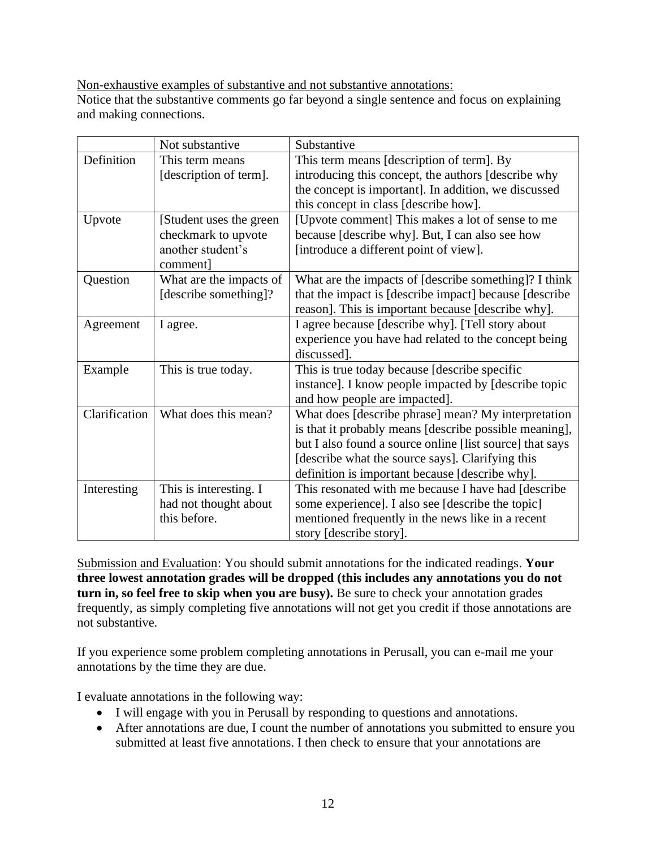Non-exhaustive examples of substantive and not substantive annotations:

Notice that the substantive comments go far beyond a single sentence and focus on explaining and making connections.

|               | Not substantive                                                                  | Substantive                                                                                                                                                                                                                                                                      |
|---------------|----------------------------------------------------------------------------------|----------------------------------------------------------------------------------------------------------------------------------------------------------------------------------------------------------------------------------------------------------------------------------|
| Definition    | This term means<br>[description of term].                                        | This term means [description of term]. By<br>introducing this concept, the authors [describe why<br>the concept is important]. In addition, we discussed<br>this concept in class [describe how].                                                                                |
| Upvote        | [Student uses the green]<br>checkmark to upvote<br>another student's<br>comment] | [Upvote comment] This makes a lot of sense to me<br>because [describe why]. But, I can also see how<br>[introduce a different point of view].                                                                                                                                    |
| Question      | What are the impacts of<br>[describe something]?                                 | What are the impacts of [describe something]? I think<br>that the impact is [describe impact] because [describe<br>reason]. This is important because [describe why].                                                                                                            |
| Agreement     | I agree.                                                                         | I agree because [describe why]. [Tell story about<br>experience you have had related to the concept being<br>discussed].                                                                                                                                                         |
| Example       | This is true today.                                                              | This is true today because [describe specific]<br>instance]. I know people impacted by [describe topic<br>and how people are impacted].                                                                                                                                          |
| Clarification | What does this mean?                                                             | What does [describe phrase] mean? My interpretation<br>is that it probably means [describe possible meaning],<br>but I also found a source online [list source] that says<br>[describe what the source says]. Clarifying this<br>definition is important because [describe why]. |
| Interesting   | This is interesting. I<br>had not thought about<br>this before.                  | This resonated with me because I have had [describe<br>some experience]. I also see [describe the topic]<br>mentioned frequently in the news like in a recent<br>story [describe story].                                                                                         |

Submission and Evaluation: You should submit annotations for the indicated readings. **Your three lowest annotation grades will be dropped (this includes any annotations you do not turn in, so feel free to skip when you are busy).** Be sure to check your annotation grades frequently, as simply completing five annotations will not get you credit if those annotations are not substantive.

If you experience some problem completing annotations in Perusall, you can e-mail me your annotations by the time they are due.

I evaluate annotations in the following way:

- I will engage with you in Perusall by responding to questions and annotations.
- After annotations are due, I count the number of annotations you submitted to ensure you submitted at least five annotations. I then check to ensure that your annotations are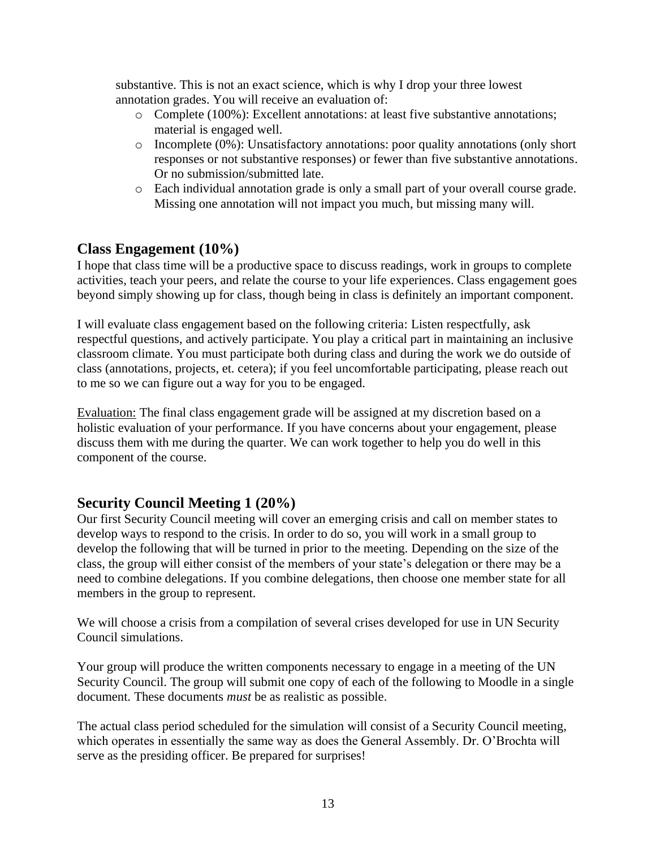substantive. This is not an exact science, which is why I drop your three lowest annotation grades. You will receive an evaluation of:

- o Complete (100%): Excellent annotations: at least five substantive annotations; material is engaged well.
- o Incomplete (0%): Unsatisfactory annotations: poor quality annotations (only short responses or not substantive responses) or fewer than five substantive annotations. Or no submission/submitted late.
- o Each individual annotation grade is only a small part of your overall course grade. Missing one annotation will not impact you much, but missing many will.

### **Class Engagement (10%)**

I hope that class time will be a productive space to discuss readings, work in groups to complete activities, teach your peers, and relate the course to your life experiences. Class engagement goes beyond simply showing up for class, though being in class is definitely an important component.

I will evaluate class engagement based on the following criteria: Listen respectfully, ask respectful questions, and actively participate. You play a critical part in maintaining an inclusive classroom climate. You must participate both during class and during the work we do outside of class (annotations, projects, et. cetera); if you feel uncomfortable participating, please reach out to me so we can figure out a way for you to be engaged.

Evaluation: The final class engagement grade will be assigned at my discretion based on a holistic evaluation of your performance. If you have concerns about your engagement, please discuss them with me during the quarter. We can work together to help you do well in this component of the course.

### **Security Council Meeting 1 (20%)**

Our first Security Council meeting will cover an emerging crisis and call on member states to develop ways to respond to the crisis. In order to do so, you will work in a small group to develop the following that will be turned in prior to the meeting. Depending on the size of the class, the group will either consist of the members of your state's delegation or there may be a need to combine delegations. If you combine delegations, then choose one member state for all members in the group to represent.

We will choose a crisis from a compilation of several crises developed for use in UN Security Council simulations.

Your group will produce the written components necessary to engage in a meeting of the UN Security Council. The group will submit one copy of each of the following to Moodle in a single document. These documents *must* be as realistic as possible.

The actual class period scheduled for the simulation will consist of a Security Council meeting, which operates in essentially the same way as does the General Assembly. Dr. O'Brochta will serve as the presiding officer. Be prepared for surprises!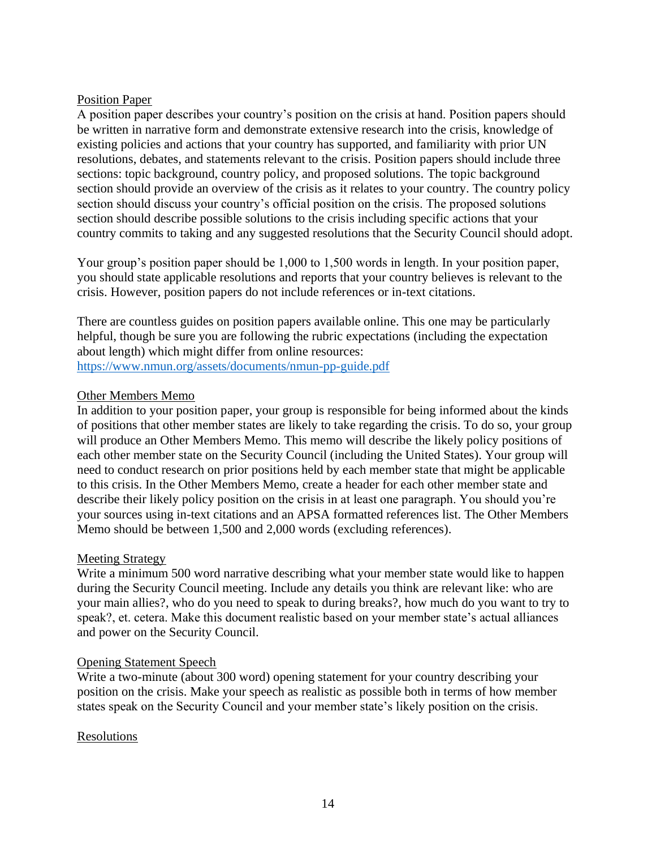#### Position Paper

A position paper describes your country's position on the crisis at hand. Position papers should be written in narrative form and demonstrate extensive research into the crisis, knowledge of existing policies and actions that your country has supported, and familiarity with prior UN resolutions, debates, and statements relevant to the crisis. Position papers should include three sections: topic background, country policy, and proposed solutions. The topic background section should provide an overview of the crisis as it relates to your country. The country policy section should discuss your country's official position on the crisis. The proposed solutions section should describe possible solutions to the crisis including specific actions that your country commits to taking and any suggested resolutions that the Security Council should adopt.

Your group's position paper should be 1,000 to 1,500 words in length. In your position paper, you should state applicable resolutions and reports that your country believes is relevant to the crisis. However, position papers do not include references or in-text citations.

There are countless guides on position papers available online. This one may be particularly helpful, though be sure you are following the rubric expectations (including the expectation about length) which might differ from online resources: <https://www.nmun.org/assets/documents/nmun-pp-guide.pdf>

#### Other Members Memo

In addition to your position paper, your group is responsible for being informed about the kinds of positions that other member states are likely to take regarding the crisis. To do so, your group will produce an Other Members Memo. This memo will describe the likely policy positions of each other member state on the Security Council (including the United States). Your group will need to conduct research on prior positions held by each member state that might be applicable to this crisis. In the Other Members Memo, create a header for each other member state and describe their likely policy position on the crisis in at least one paragraph. You should you're your sources using in-text citations and an APSA formatted references list. The Other Members Memo should be between 1,500 and 2,000 words (excluding references).

#### Meeting Strategy

Write a minimum 500 word narrative describing what your member state would like to happen during the Security Council meeting. Include any details you think are relevant like: who are your main allies?, who do you need to speak to during breaks?, how much do you want to try to speak?, et. cetera. Make this document realistic based on your member state's actual alliances and power on the Security Council.

#### Opening Statement Speech

Write a two-minute (about 300 word) opening statement for your country describing your position on the crisis. Make your speech as realistic as possible both in terms of how member states speak on the Security Council and your member state's likely position on the crisis.

#### Resolutions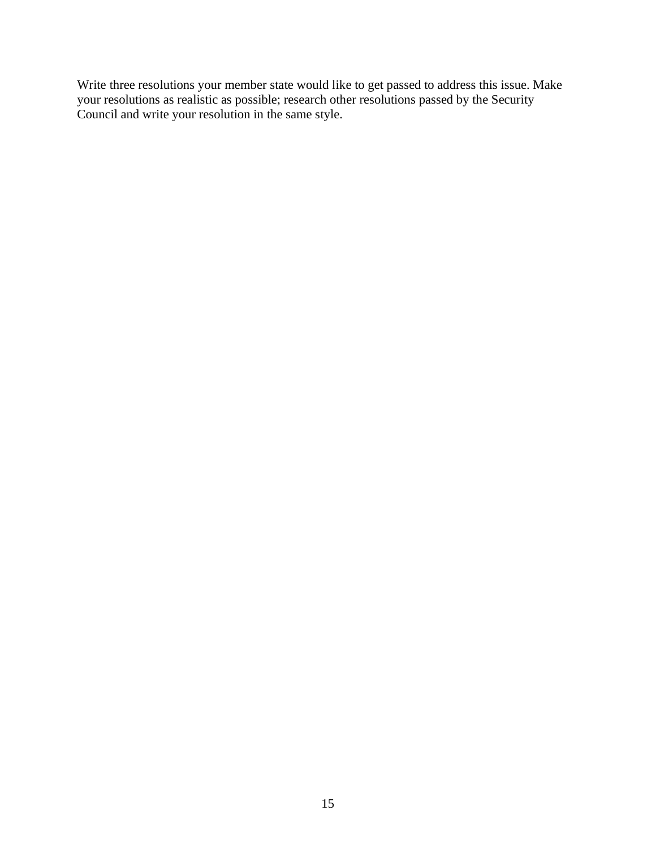Write three resolutions your member state would like to get passed to address this issue. Make your resolutions as realistic as possible; research other resolutions passed by the Security Council and write your resolution in the same style.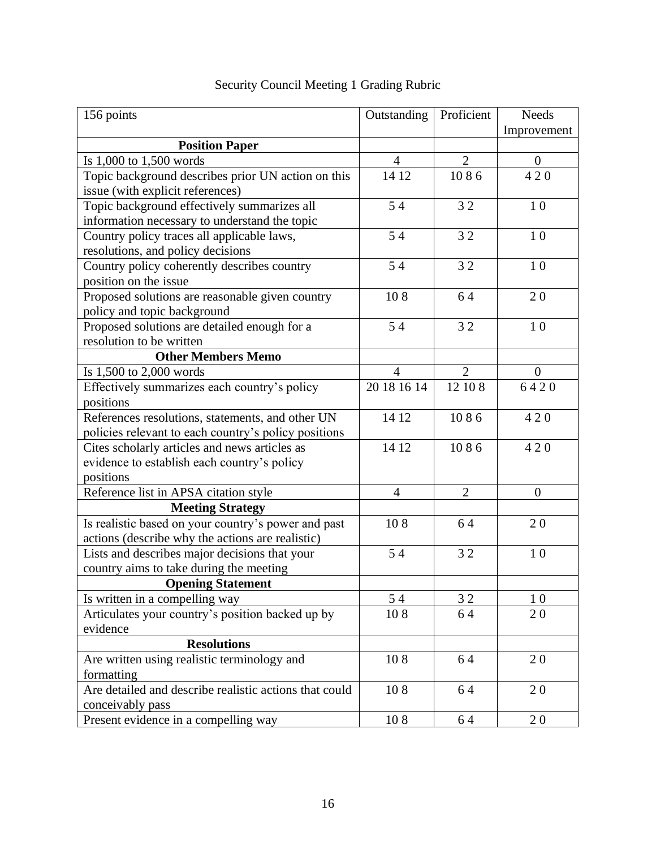| 156 points                                             | Outstanding    | Proficient     | <b>Needs</b>   |
|--------------------------------------------------------|----------------|----------------|----------------|
|                                                        |                |                | Improvement    |
| <b>Position Paper</b>                                  |                |                |                |
| Is 1,000 to 1,500 words                                | $\overline{4}$ | $\overline{2}$ | $\overline{0}$ |
| Topic background describes prior UN action on this     | 14 12          | 1086           | 420            |
| issue (with explicit references)                       |                |                |                |
| Topic background effectively summarizes all            | 54             | 32             | 10             |
| information necessary to understand the topic          |                |                |                |
| Country policy traces all applicable laws,             | 54             | 32             | 10             |
| resolutions, and policy decisions                      |                |                |                |
| Country policy coherently describes country            | 54             | 32             | $1\;0$         |
| position on the issue                                  |                |                |                |
| Proposed solutions are reasonable given country        | 108            | 64             | 20             |
| policy and topic background                            |                |                |                |
| Proposed solutions are detailed enough for a           | 54             | 32             | 10             |
| resolution to be written                               |                |                |                |
| <b>Other Members Memo</b>                              |                |                |                |
| Is 1,500 to 2,000 words                                | $\overline{4}$ | $\overline{2}$ | $\theta$       |
| Effectively summarizes each country's policy           | 20 18 16 14    | 12 10 8        | 6420           |
| positions                                              |                |                |                |
| References resolutions, statements, and other UN       | 14 12          | 1086           | 420            |
| policies relevant to each country's policy positions   |                |                |                |
| Cites scholarly articles and news articles as          | 14 12          | 1086           | 420            |
| evidence to establish each country's policy            |                |                |                |
| positions                                              |                |                |                |
| Reference list in APSA citation style                  | $\overline{4}$ | $\overline{2}$ | $\mathbf{0}$   |
| <b>Meeting Strategy</b>                                |                |                |                |
| Is realistic based on your country's power and past    | 108            | 64             | 20             |
| actions (describe why the actions are realistic)       |                |                |                |
| Lists and describes major decisions that your          | 54             | 32             | 10             |
| country aims to take during the meeting                |                |                |                |
| <b>Opening Statement</b>                               |                |                |                |
| Is written in a compelling way                         | 54             | 32             | 10             |
| Articulates your country's position backed up by       | 108            | 64             | 20             |
| evidence                                               |                |                |                |
| <b>Resolutions</b>                                     |                |                |                |
| Are written using realistic terminology and            | 108            | 64             | 20             |
| formatting                                             |                |                |                |
| Are detailed and describe realistic actions that could | 108            | 64             | 20             |
| conceivably pass                                       |                |                |                |
| Present evidence in a compelling way                   | 108            | 64             | 20             |

## Security Council Meeting 1 Grading Rubric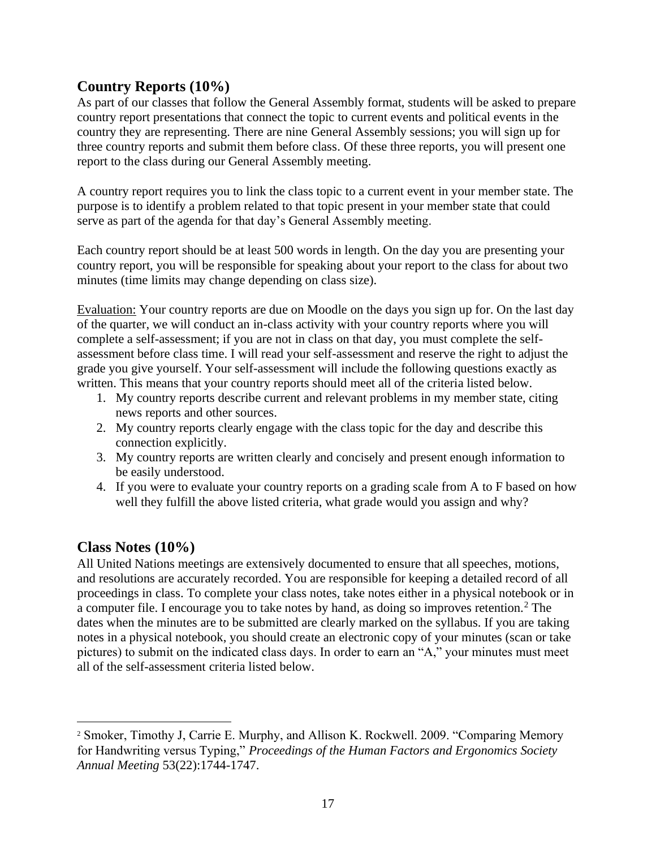### **Country Reports (10%)**

As part of our classes that follow the General Assembly format, students will be asked to prepare country report presentations that connect the topic to current events and political events in the country they are representing. There are nine General Assembly sessions; you will sign up for three country reports and submit them before class. Of these three reports, you will present one report to the class during our General Assembly meeting.

A country report requires you to link the class topic to a current event in your member state. The purpose is to identify a problem related to that topic present in your member state that could serve as part of the agenda for that day's General Assembly meeting.

Each country report should be at least 500 words in length. On the day you are presenting your country report, you will be responsible for speaking about your report to the class for about two minutes (time limits may change depending on class size).

Evaluation: Your country reports are due on Moodle on the days you sign up for. On the last day of the quarter, we will conduct an in-class activity with your country reports where you will complete a self-assessment; if you are not in class on that day, you must complete the selfassessment before class time. I will read your self-assessment and reserve the right to adjust the grade you give yourself. Your self-assessment will include the following questions exactly as written. This means that your country reports should meet all of the criteria listed below.

- 1. My country reports describe current and relevant problems in my member state, citing news reports and other sources.
- 2. My country reports clearly engage with the class topic for the day and describe this connection explicitly.
- 3. My country reports are written clearly and concisely and present enough information to be easily understood.
- 4. If you were to evaluate your country reports on a grading scale from A to F based on how well they fulfill the above listed criteria, what grade would you assign and why?

### **Class Notes (10%)**

All United Nations meetings are extensively documented to ensure that all speeches, motions, and resolutions are accurately recorded. You are responsible for keeping a detailed record of all proceedings in class. To complete your class notes, take notes either in a physical notebook or in a computer file. I encourage you to take notes by hand, as doing so improves retention.<sup>2</sup> The dates when the minutes are to be submitted are clearly marked on the syllabus. If you are taking notes in a physical notebook, you should create an electronic copy of your minutes (scan or take pictures) to submit on the indicated class days. In order to earn an "A," your minutes must meet all of the self-assessment criteria listed below.

<sup>&</sup>lt;sup>2</sup> Smoker, Timothy J, Carrie E. Murphy, and Allison K. Rockwell. 2009. "Comparing Memory for Handwriting versus Typing," *Proceedings of the Human Factors and Ergonomics Society Annual Meeting* 53(22):1744-1747.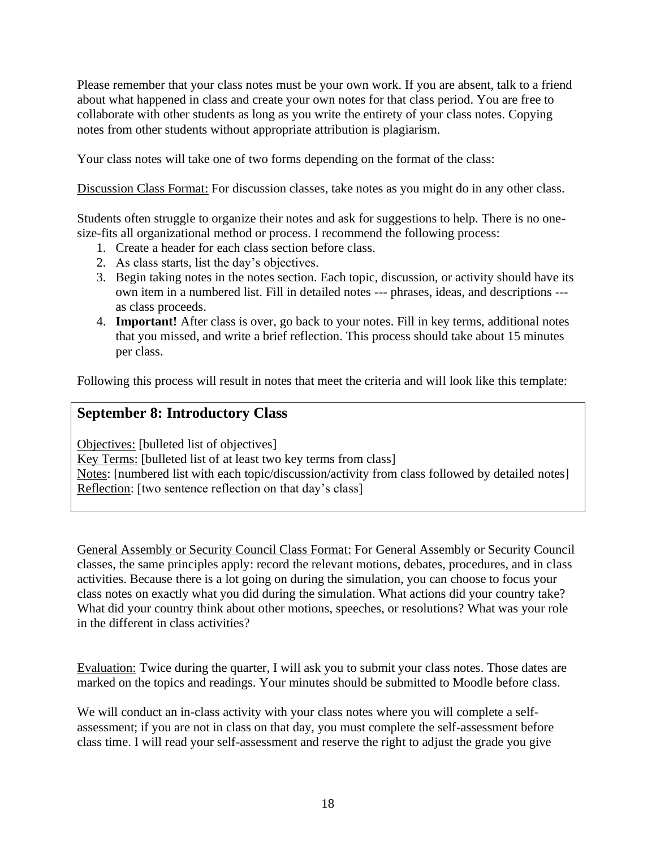Please remember that your class notes must be your own work. If you are absent, talk to a friend about what happened in class and create your own notes for that class period. You are free to collaborate with other students as long as you write the entirety of your class notes. Copying notes from other students without appropriate attribution is plagiarism.

Your class notes will take one of two forms depending on the format of the class:

Discussion Class Format: For discussion classes, take notes as you might do in any other class.

Students often struggle to organize their notes and ask for suggestions to help. There is no onesize-fits all organizational method or process. I recommend the following process:

- 1. Create a header for each class section before class.
- 2. As class starts, list the day's objectives.
- 3. Begin taking notes in the notes section. Each topic, discussion, or activity should have its own item in a numbered list. Fill in detailed notes --- phrases, ideas, and descriptions -- as class proceeds.
- 4. **Important!** After class is over, go back to your notes. Fill in key terms, additional notes that you missed, and write a brief reflection. This process should take about 15 minutes per class.

Following this process will result in notes that meet the criteria and will look like this template:

### **September 8: Introductory Class**

Objectives: [bulleted list of objectives] Key Terms: [bulleted list of at least two key terms from class] Notes: [numbered list with each topic/discussion/activity from class followed by detailed notes] Reflection: [two sentence reflection on that day's class]

General Assembly or Security Council Class Format: For General Assembly or Security Council classes, the same principles apply: record the relevant motions, debates, procedures, and in class activities. Because there is a lot going on during the simulation, you can choose to focus your class notes on exactly what you did during the simulation. What actions did your country take? What did your country think about other motions, speeches, or resolutions? What was your role in the different in class activities?

Evaluation: Twice during the quarter, I will ask you to submit your class notes. Those dates are marked on the topics and readings. Your minutes should be submitted to Moodle before class.

We will conduct an in-class activity with your class notes where you will complete a selfassessment; if you are not in class on that day, you must complete the self-assessment before class time. I will read your self-assessment and reserve the right to adjust the grade you give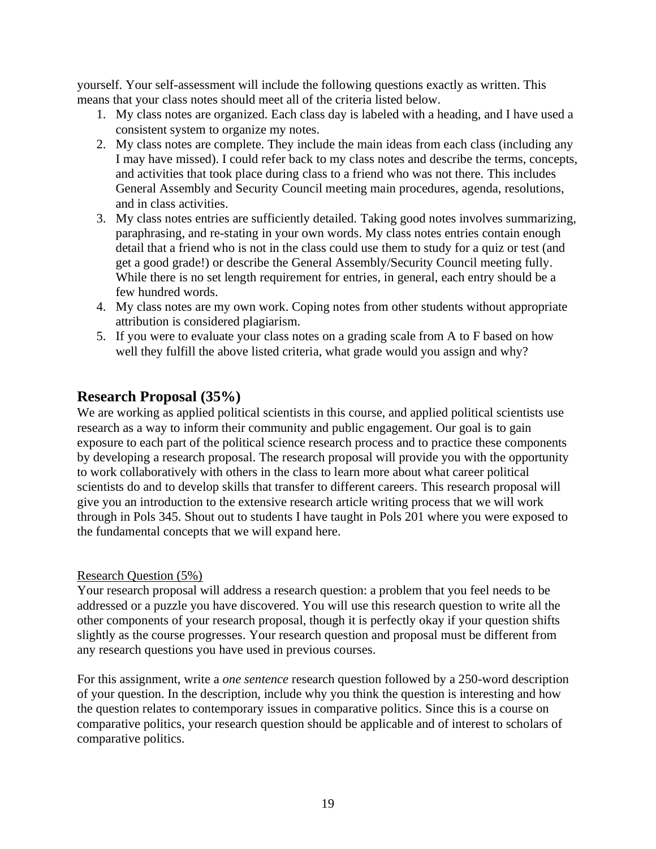yourself. Your self-assessment will include the following questions exactly as written. This means that your class notes should meet all of the criteria listed below.

- 1. My class notes are organized. Each class day is labeled with a heading, and I have used a consistent system to organize my notes.
- 2. My class notes are complete. They include the main ideas from each class (including any I may have missed). I could refer back to my class notes and describe the terms, concepts, and activities that took place during class to a friend who was not there. This includes General Assembly and Security Council meeting main procedures, agenda, resolutions, and in class activities.
- 3. My class notes entries are sufficiently detailed. Taking good notes involves summarizing, paraphrasing, and re-stating in your own words. My class notes entries contain enough detail that a friend who is not in the class could use them to study for a quiz or test (and get a good grade!) or describe the General Assembly/Security Council meeting fully. While there is no set length requirement for entries, in general, each entry should be a few hundred words.
- 4. My class notes are my own work. Coping notes from other students without appropriate attribution is considered plagiarism.
- 5. If you were to evaluate your class notes on a grading scale from A to F based on how well they fulfill the above listed criteria, what grade would you assign and why?

### **Research Proposal (35%)**

We are working as applied political scientists in this course, and applied political scientists use research as a way to inform their community and public engagement. Our goal is to gain exposure to each part of the political science research process and to practice these components by developing a research proposal. The research proposal will provide you with the opportunity to work collaboratively with others in the class to learn more about what career political scientists do and to develop skills that transfer to different careers. This research proposal will give you an introduction to the extensive research article writing process that we will work through in Pols 345. Shout out to students I have taught in Pols 201 where you were exposed to the fundamental concepts that we will expand here.

#### Research Question (5%)

Your research proposal will address a research question: a problem that you feel needs to be addressed or a puzzle you have discovered. You will use this research question to write all the other components of your research proposal, though it is perfectly okay if your question shifts slightly as the course progresses. Your research question and proposal must be different from any research questions you have used in previous courses.

For this assignment, write a *one sentence* research question followed by a 250-word description of your question. In the description, include why you think the question is interesting and how the question relates to contemporary issues in comparative politics. Since this is a course on comparative politics, your research question should be applicable and of interest to scholars of comparative politics.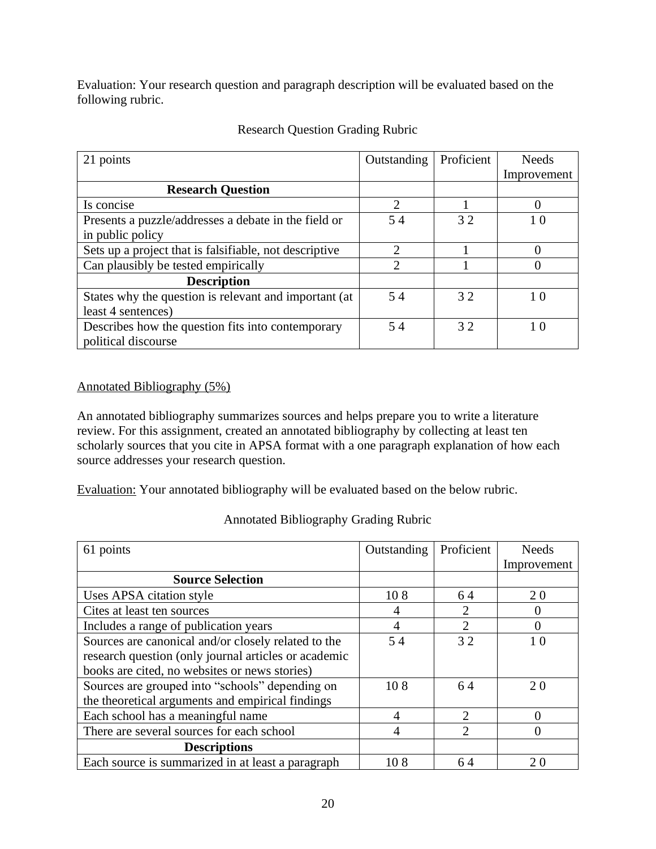Evaluation: Your research question and paragraph description will be evaluated based on the following rubric.

| 21 points                                              | Outstanding                 | Proficient | <b>Needs</b> |
|--------------------------------------------------------|-----------------------------|------------|--------------|
|                                                        |                             |            | Improvement  |
| <b>Research Question</b>                               |                             |            |              |
| Is concise                                             | $\mathcal{D}_{\mathcal{L}}$ |            |              |
| Presents a puzzle/addresses a debate in the field or   | 54                          | 32         | 10           |
| in public policy                                       |                             |            |              |
| Sets up a project that is falsifiable, not descriptive | ◠                           |            |              |
| Can plausibly be tested empirically                    | $\mathcal{D}_{\mathcal{A}}$ |            |              |
| <b>Description</b>                                     |                             |            |              |
| States why the question is relevant and important (at  | 54                          | 32         | 10           |
| least 4 sentences)                                     |                             |            |              |
| Describes how the question fits into contemporary      | 54                          | 32         | 10           |
| political discourse                                    |                             |            |              |

### Research Question Grading Rubric

### Annotated Bibliography (5%)

An annotated bibliography summarizes sources and helps prepare you to write a literature review. For this assignment, created an annotated bibliography by collecting at least ten scholarly sources that you cite in APSA format with a one paragraph explanation of how each source addresses your research question.

Evaluation: Your annotated bibliography will be evaluated based on the below rubric.

| 61 points                                            | Outstanding | Proficient     | <b>Needs</b>     |
|------------------------------------------------------|-------------|----------------|------------------|
|                                                      |             |                | Improvement      |
| <b>Source Selection</b>                              |             |                |                  |
| Uses APSA citation style                             | 108         | 64             | 20               |
| Cites at least ten sources                           | 4           | 2              | $\left( \right)$ |
| Includes a range of publication years                | 4           | $\overline{2}$ | 0                |
| Sources are canonical and/or closely related to the  | 54          | 32             | 1 <sub>0</sub>   |
| research question (only journal articles or academic |             |                |                  |
| books are cited, no websites or news stories)        |             |                |                  |
| Sources are grouped into "schools" depending on      | 108         | 64             | 20               |
| the theoretical arguments and empirical findings     |             |                |                  |
| Each school has a meaningful name                    | 4           | $\overline{2}$ |                  |
| There are several sources for each school            | 4           | 2              | 0                |
| <b>Descriptions</b>                                  |             |                |                  |
| Each source is summarized in at least a paragraph    | 108         | 64             | 20               |

### Annotated Bibliography Grading Rubric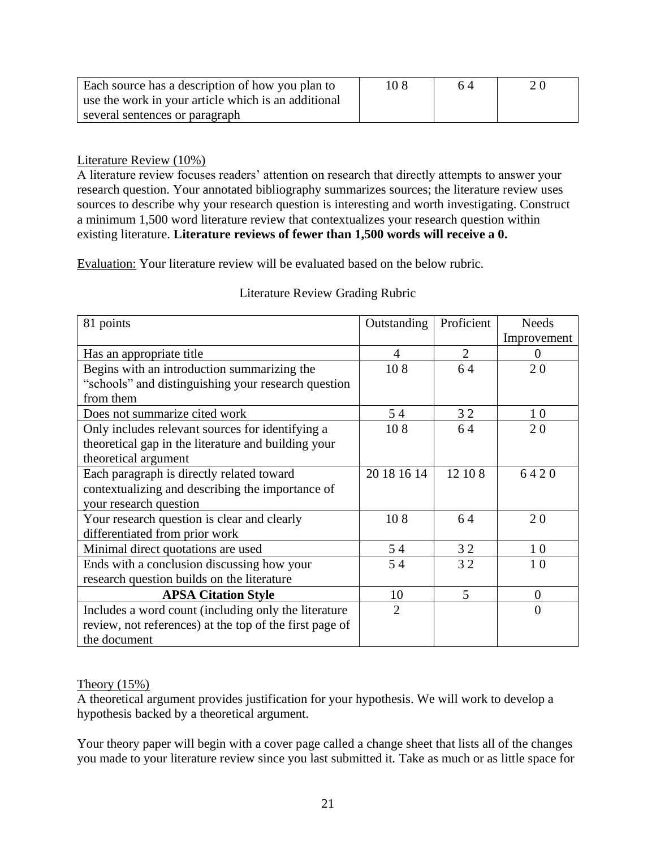| Each source has a description of how you plan to    | 10.8 | 64 |  |
|-----------------------------------------------------|------|----|--|
| use the work in your article which is an additional |      |    |  |
| several sentences or paragraph                      |      |    |  |

### Literature Review (10%)

A literature review focuses readers' attention on research that directly attempts to answer your research question. Your annotated bibliography summarizes sources; the literature review uses sources to describe why your research question is interesting and worth investigating. Construct a minimum 1,500 word literature review that contextualizes your research question within existing literature. **Literature reviews of fewer than 1,500 words will receive a 0.**

Evaluation: Your literature review will be evaluated based on the below rubric.

| 81 points                                               | Outstanding    | Proficient     | <b>Needs</b>   |
|---------------------------------------------------------|----------------|----------------|----------------|
|                                                         |                |                | Improvement    |
| Has an appropriate title                                | 4              | $\overline{2}$ | $\Omega$       |
| Begins with an introduction summarizing the             | 108            | 64             | 20             |
| "schools" and distinguishing your research question     |                |                |                |
| from them                                               |                |                |                |
| Does not summarize cited work                           | 54             | 32             | 10             |
| Only includes relevant sources for identifying a        | 108            | 64             | 20             |
| theoretical gap in the literature and building your     |                |                |                |
| theoretical argument                                    |                |                |                |
| Each paragraph is directly related toward               | 20 18 16 14    | 12 10 8        | 6420           |
| contextualizing and describing the importance of        |                |                |                |
| your research question                                  |                |                |                |
| Your research question is clear and clearly             | 108            | 64             | 20             |
| differentiated from prior work                          |                |                |                |
| Minimal direct quotations are used                      | 54             | 32             | 10             |
| Ends with a conclusion discussing how your              | 54             | 32             | 10             |
| research question builds on the literature              |                |                |                |
| <b>APSA Citation Style</b>                              | 10             | 5              | $\overline{0}$ |
| Includes a word count (including only the literature    | $\overline{2}$ |                | $\theta$       |
| review, not references) at the top of the first page of |                |                |                |
| the document                                            |                |                |                |

#### Literature Review Grading Rubric

#### Theory (15%)

A theoretical argument provides justification for your hypothesis. We will work to develop a hypothesis backed by a theoretical argument.

Your theory paper will begin with a cover page called a change sheet that lists all of the changes you made to your literature review since you last submitted it. Take as much or as little space for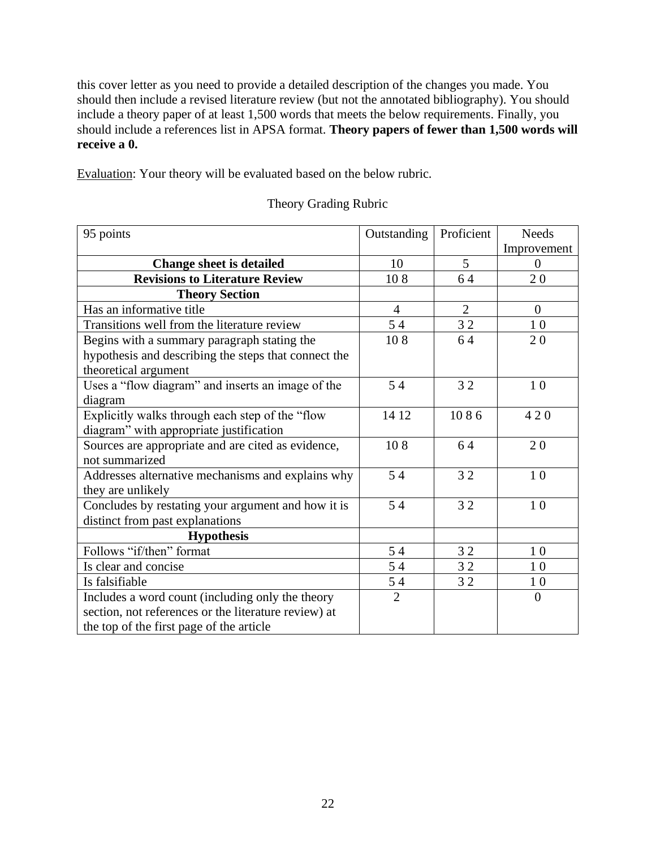this cover letter as you need to provide a detailed description of the changes you made. You should then include a revised literature review (but not the annotated bibliography). You should include a theory paper of at least 1,500 words that meets the below requirements. Finally, you should include a references list in APSA format. **Theory papers of fewer than 1,500 words will receive a 0.**

Evaluation: Your theory will be evaluated based on the below rubric.

| 95 points                                            | Outstanding    | Proficient     | <b>Needs</b>   |
|------------------------------------------------------|----------------|----------------|----------------|
|                                                      |                |                | Improvement    |
| <b>Change sheet is detailed</b>                      | 10             | 5              | $\theta$       |
| <b>Revisions to Literature Review</b>                | 108            | 64             | 20             |
| <b>Theory Section</b>                                |                |                |                |
| Has an informative title                             | 4              | $\overline{2}$ | $\theta$       |
| Transitions well from the literature review          | 54             | 32             | 10             |
| Begins with a summary paragraph stating the          | 108            | 64             | 20             |
| hypothesis and describing the steps that connect the |                |                |                |
| theoretical argument                                 |                |                |                |
| Uses a "flow diagram" and inserts an image of the    | 54             | 32             | 10             |
| diagram                                              |                |                |                |
| Explicitly walks through each step of the "flow      | 14 12          | 1086           | 420            |
| diagram" with appropriate justification              |                |                |                |
| Sources are appropriate and are cited as evidence,   | 108            | 64             | 20             |
| not summarized                                       |                |                |                |
| Addresses alternative mechanisms and explains why    | 54             | 32             | 10             |
| they are unlikely                                    |                |                |                |
| Concludes by restating your argument and how it is   | 54             | 32             | 10             |
| distinct from past explanations                      |                |                |                |
| <b>Hypothesis</b>                                    |                |                |                |
| Follows "if/then" format                             | 54             | 32             | 10             |
| Is clear and concise                                 | 54             | 32             | 10             |
| Is falsifiable                                       | 54             | 32             | 10             |
| Includes a word count (including only the theory     | $\overline{2}$ |                | $\overline{0}$ |
| section, not references or the literature review) at |                |                |                |
| the top of the first page of the article             |                |                |                |

### Theory Grading Rubric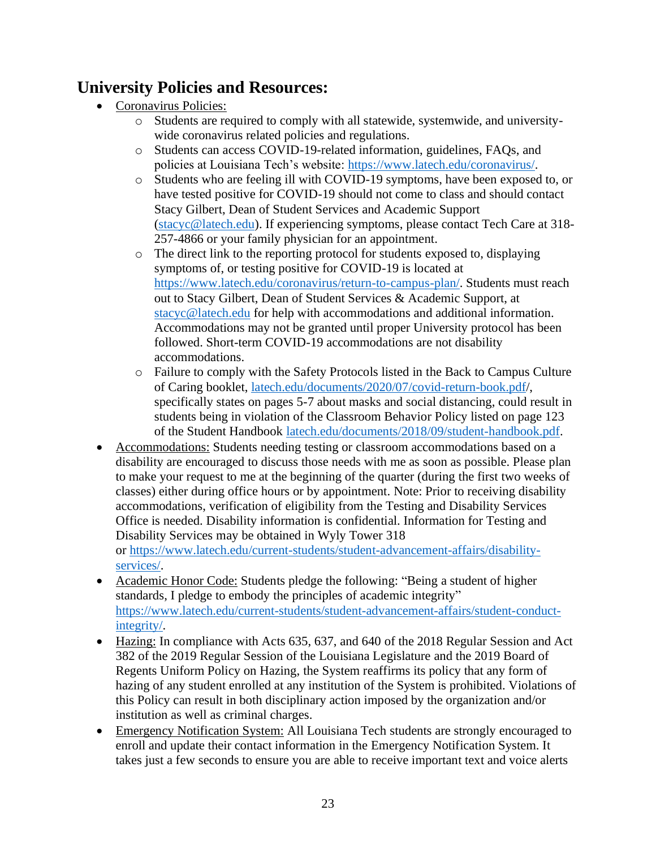# **University Policies and Resources:**

- Coronavirus Policies:
	- o Students are required to comply with all statewide, systemwide, and universitywide coronavirus related policies and regulations.
	- o Students can access COVID-19-related information, guidelines, FAQs, and policies at Louisiana Tech's website: [https://www.latech.edu/coronavirus/.](https://www.latech.edu/coronavirus/)
	- o Students who are feeling ill with COVID-19 symptoms, have been exposed to, or have tested positive for COVID-19 should not come to class and should contact Stacy Gilbert, Dean of Student Services and Academic Support [\(stacyc@latech.edu\)](mailto:stacyc@latech.edu). If experiencing symptoms, please contact Tech Care at 318- 257-4866 or your family physician for an appointment.
	- o The direct link to the reporting protocol for students exposed to, displaying symptoms of, or testing positive for COVID-19 is located at [https://www.latech.edu/coronavirus/return-to-campus-plan/.](https://www.latech.edu/coronavirus/return-to-campus-plan/for-students/) Students must reach out to Stacy Gilbert, Dean of Student Services & Academic Support, at [stacyc@latech.edu](mailto:stacyc@latech.edu) for help with accommodations and additional information. Accommodations may not be granted until proper University protocol has been followed. Short-term COVID-19 accommodations are not disability accommodations.
	- o Failure to comply with the Safety Protocols listed in the Back to Campus Culture of Caring booklet, [latech.edu/documents/2020/07/covid-return-book.pdf/](http://latech.edu/documents/2020/07/covid-return-book.pdf), specifically states on pages 5-7 about masks and social distancing, could result in students being in violation of the Classroom Behavior Policy listed on page 123 of the Student Handbook [latech.edu/documents/2018/09/student-handbook.pdf.](http://latech.edu/documents/2018/09/student-handbook.pdf)
- Accommodations: Students needing testing or classroom accommodations based on a disability are encouraged to discuss those needs with me as soon as possible. Please plan to make your request to me at the beginning of the quarter (during the first two weeks of classes) either during office hours or by appointment. Note: Prior to receiving disability accommodations, verification of eligibility from the Testing and Disability Services Office is needed. Disability information is confidential. Information for Testing and Disability Services may be obtained in Wyly Tower 318 or [https://www.latech.edu/current-students/student-advancement-affairs/disability](https://www.latech.edu/current-students/student-advancement-affairs/disability-services/)[services/.](https://www.latech.edu/current-students/student-advancement-affairs/disability-services/)
- Academic Honor Code: Students pledge the following: "Being a student of higher standards, I pledge to embody the principles of academic integrity" [https://www.latech.edu/current-students/student-advancement-affairs/student-conduct](https://www.latech.edu/current-students/student-advancement-affairs/student-conduct-integrity/)[integrity/.](https://www.latech.edu/current-students/student-advancement-affairs/student-conduct-integrity/)
- Hazing: In compliance with Acts 635, 637, and 640 of the 2018 Regular Session and Act 382 of the 2019 Regular Session of the Louisiana Legislature and the 2019 Board of Regents Uniform Policy on Hazing, the System reaffirms its policy that any form of hazing of any student enrolled at any institution of the System is prohibited. Violations of this Policy can result in both disciplinary action imposed by the organization and/or institution as well as criminal charges.
- Emergency Notification System: All Louisiana Tech students are strongly encouraged to enroll and update their contact information in the Emergency Notification System. It takes just a few seconds to ensure you are able to receive important text and voice alerts